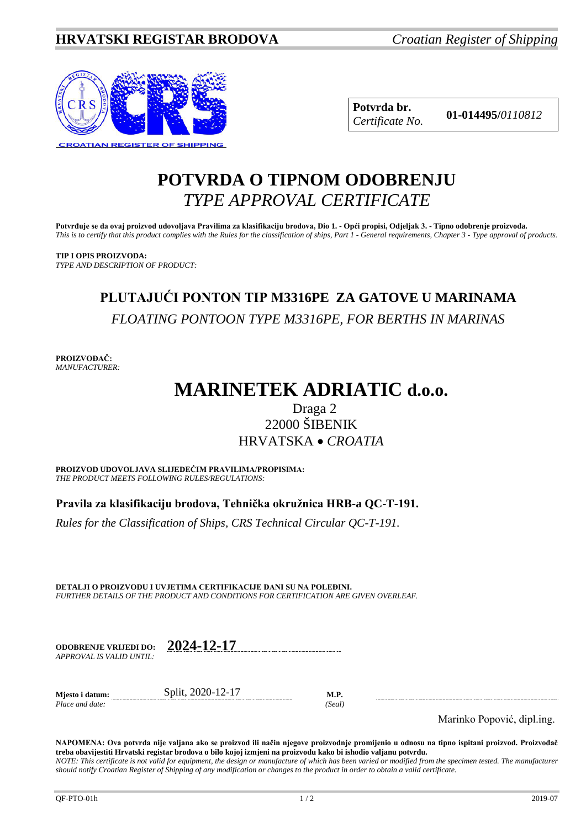

**Potvrda br. 01-014495/***<sup>0110812</sup> Certificate No.*

## **POTVRDA O TIPNOM ODOBRENJU** *TYPE APPROVAL CERTIFICATE*

**Potvrđuje se da ovaj proizvod udovoljava Pravilima za klasifikaciju brodova, Dio 1. - Opći propisi, Odjeljak 3. - Tipno odobrenje proizvoda.** *This is to certify that this product complies with the Rules for the classification of ships, Part 1 - General requirements, Chapter 3 - Type approval of products.*

**TIP I OPIS PROIZVODA:** *TYPE AND DESCRIPTION OF PRODUCT:*

# **PLUTAJUĆI PONTON TIP M3316PE ZA GATOVE U MARINAMA** *FLOATING PONTOON TYPE M3316PE, FOR BERTHS IN MARINAS*

**PROIZVOĐAČ:** *MANUFACTURER:*

# **MARINETEK ADRIATIC d.o.o.**

## Draga 2 22000 ŠIBENIK HRVATSKA • *CROATIA*

**PROIZVOD UDOVOLJAVA SLIJEDEĆIM PRAVILIMA/PROPISIMA:** *THE PRODUCT MEETS FOLLOWING RULES/REGULATIONS:*

**Pravila za klasifikaciju brodova, Tehnička okružnica HRB-a QC-T-191.** 

*Rules for the Classification of Ships, CRS Technical Circular QC-T-191.*

**DETALJI O PROIZVODU I UVJETIMA CERTIFIKACIJE DANI SU NA POLEĐINI.** *FURTHER DETAILS OF THE PRODUCT AND CONDITIONS FOR CERTIFICATION ARE GIVEN OVERLEAF.*

| <b>ODOBRENJE VRLJEDI DO:</b> | 2024-12-17 |
|------------------------------|------------|
| APPROVAL IS VALID UNTIL:     |            |

**Mjesto i datum:** Split, 2020-12-17 **M.P.** *Place and date: (Seal)*

Marinko Popović, dipl.ing.

**NAPOMENA: Ova potvrda nije valjana ako se proizvod ili način njegove proizvodnje promijenio u odnosu na tipno ispitani proizvod. Proizvođač treba obavijestiti Hrvatski registar brodova o bilo kojoj izmjeni na proizvodu kako bi ishodio valjanu potvrdu.** *NOTE: This certificate is not valid for equipment, the design or manufacture of which has been varied or modified from the specimen tested. The manufacturer should notify Croatian Register of Shipping of any modification or changes to the product in order to obtain a valid certificate.*